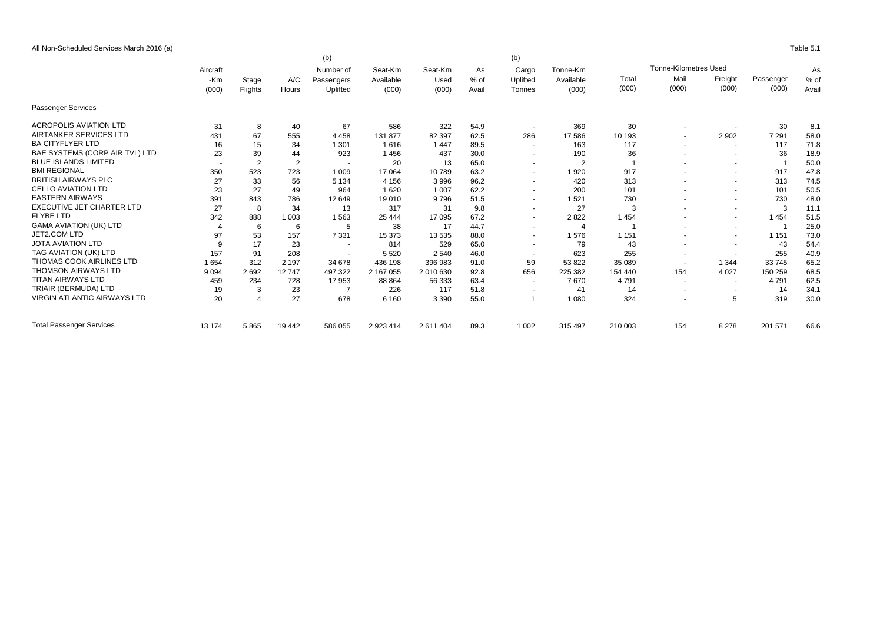All Non-Scheduled Services March 2016 (a) Table 5.1

|                                    |                          | (b)<br>(b)     |                |                         |                      |                 |              |                          |                       |                                    |                |                          |           |       |       |
|------------------------------------|--------------------------|----------------|----------------|-------------------------|----------------------|-----------------|--------------|--------------------------|-----------------------|------------------------------------|----------------|--------------------------|-----------|-------|-------|
|                                    | Aircraft                 |                |                | Number of<br>Passengers | Seat-Km<br>Available | Seat-Km<br>Used | As<br>$%$ of | Cargo<br>Uplifted        | Tonne-Km<br>Available | <b>Tonne-Kilometres Used</b><br>As |                |                          |           |       |       |
|                                    | -Km<br>(000)             | Stage          | A/C            |                         |                      |                 |              |                          |                       | Total                              | Mail           | Freight                  | Passenger | % of  |       |
|                                    |                          |                | Flights        | Hours                   | Uplifted             | (000)           | (000)        | Avail                    | Tonnes                | (000)                              | (000)          | (000)                    | (000)     | (000) | Avail |
| <b>Passenger Services</b>          |                          |                |                |                         |                      |                 |              |                          |                       |                                    |                |                          |           |       |       |
| <b>ACROPOLIS AVIATION LTD</b>      | 31                       | 8              | 40             | 67                      | 586                  | 322             | 54.9         | $\sim$                   | 369                   | 30                                 | $\overline{a}$ |                          | 30        | 8.1   |       |
| AIRTANKER SERVICES LTD             | 431                      | 67             | 555            | 4 4 5 8                 | 131 877              | 82 397          | 62.5         | 286                      | 17586                 | 10 193                             |                | 2 9 0 2                  | 7 2 9 1   | 58.0  |       |
| <b>BA CITYFLYER LTD</b>            | 16                       | 15             | 34             | 1 301                   | 1616                 | 1 4 4 7         | 89.5         | $\sim$                   | 163                   | 117                                | $\overline{a}$ | $\sim$                   | 117       | 71.8  |       |
| BAE SYSTEMS (CORP AIR TVL) LTD     | 23                       | 39             | 44             | 923                     | 1456                 | 437             | 30.0         | $\overline{\phantom{a}}$ | 190                   | 36                                 |                | $\overline{\phantom{a}}$ | 36        | 18.9  |       |
| <b>BLUE ISLANDS LIMITED</b>        | $\overline{\phantom{a}}$ | $\overline{2}$ | $\overline{2}$ |                         | 20                   | 13              | 65.0         | $\overline{\phantom{a}}$ | $\overline{2}$        | -4                                 |                | $\sim$                   |           | 50.0  |       |
| <b>BMI REGIONAL</b>                | 350                      | 523            | 723            | 1 0 0 9                 | 17 064               | 10789           | 63.2         | $\overline{\phantom{a}}$ | 1920                  | 917                                |                | $\sim$                   | 917       | 47.8  |       |
| <b>BRITISH AIRWAYS PLC</b>         | 27                       | 33             | 56             | 5 1 3 4                 | 4 1 5 6              | 3996            | 96.2         | $\overline{a}$           | 420                   | 313                                |                | $\sim$                   | 313       | 74.5  |       |
| <b>CELLO AVIATION LTD</b>          | 23                       | 27             | 49             | 964                     | 1620                 | 1 0 0 7         | 62.2         | $\sim$                   | 200                   | 101                                |                | $\sim$                   | 101       | 50.5  |       |
| <b>EASTERN AIRWAYS</b>             | 391                      | 843            | 786            | 12 649                  | 19 010               | 9796            | 51.5         | $\sim$                   | 1521                  | 730                                |                | $\overline{\phantom{a}}$ | 730       | 48.0  |       |
| <b>EXECUTIVE JET CHARTER LTD</b>   | 27                       | 8              | 34             | 13                      | 317                  | 31              | 9.8          | $\overline{\phantom{a}}$ | 27                    | 3                                  |                | $\overline{\phantom{a}}$ | 3         | 11.1  |       |
| <b>FLYBE LTD</b>                   | 342                      | 888            | 1 0 0 3        | 1563                    | 25 4 44              | 17 095          | 67.2         | $\sim$                   | 2822                  | 1 4 5 4                            |                | $\sim$                   | 1 4 5 4   | 51.5  |       |
| <b>GAMA AVIATION (UK) LTD</b>      |                          | 6              | 6              | 5                       | 38                   | 17              | 44.7         | $\sim$                   |                       |                                    | $\overline{a}$ | $\sim$                   |           | 25.0  |       |
| JET2.COM LTD                       | 97                       | 53             | 157            | 7 3 3 1                 | 15 373               | 13535           | 88.0         | $\overline{\phantom{a}}$ | 1576                  | 1 1 5 1                            |                | $\sim$                   | 1 1 5 1   | 73.0  |       |
| <b>JOTA AVIATION LTD</b>           | 9                        | 17             | 23             | $\overline{a}$          | 814                  | 529             | 65.0         | $\sim$                   | 79                    | 43                                 |                | $\sim$                   | 43        | 54.4  |       |
| TAG AVIATION (UK) LTD              | 157                      | 91             | 208            |                         | 5 5 20               | 2 5 4 0         | 46.0         | $\overline{\phantom{a}}$ | 623                   | 255                                |                | $\sim$                   | 255       | 40.9  |       |
| THOMAS COOK AIRLINES LTD           | 1654                     | 312            | 2 1 9 7        | 34 678                  | 436 198              | 396 983         | 91.0         | 59                       | 53 822                | 35 089                             | $\sim$         | 1 3 4 4                  | 33 745    | 65.2  |       |
| <b>THOMSON AIRWAYS LTD</b>         | 9 0 9 4                  | 2692           | 12747          | 497 322                 | 2 167 055            | 2 010 630       | 92.8         | 656                      | 225 382               | 154 440                            | 154            | 4 0 2 7                  | 150 259   | 68.5  |       |
| <b>TITAN AIRWAYS LTD</b>           | 459                      | 234            | 728            | 17953                   | 88 864               | 56 333          | 63.4         | $\sim$                   | 7670                  | 4791                               | $\sim$         | $\overline{\phantom{a}}$ | 4 7 9 1   | 62.5  |       |
| TRIAIR (BERMUDA) LTD               | 19                       | 3              | 23             |                         | 226                  | 117             | 51.8         | $\overline{\phantom{a}}$ | 41                    | 14                                 | $\overline{a}$ | $\sim$                   | 14        | 34.1  |       |
| <b>VIRGIN ATLANTIC AIRWAYS LTD</b> | 20                       | $\Delta$       | 27             | 678                     | 6 1 6 0              | 3 3 9 0         | 55.0         | $\overline{1}$           | 1 0 8 0               | 324                                |                | 5                        | 319       | 30.0  |       |
| <b>Total Passenger Services</b>    | 13 174                   | 5865           | 19 442         | 586 055                 | 2 923 414            | 2 611 404       | 89.3         | 1 0 0 2                  | 315 497               | 210 003                            | 154            | 8 2 7 8                  | 201 571   | 66.6  |       |